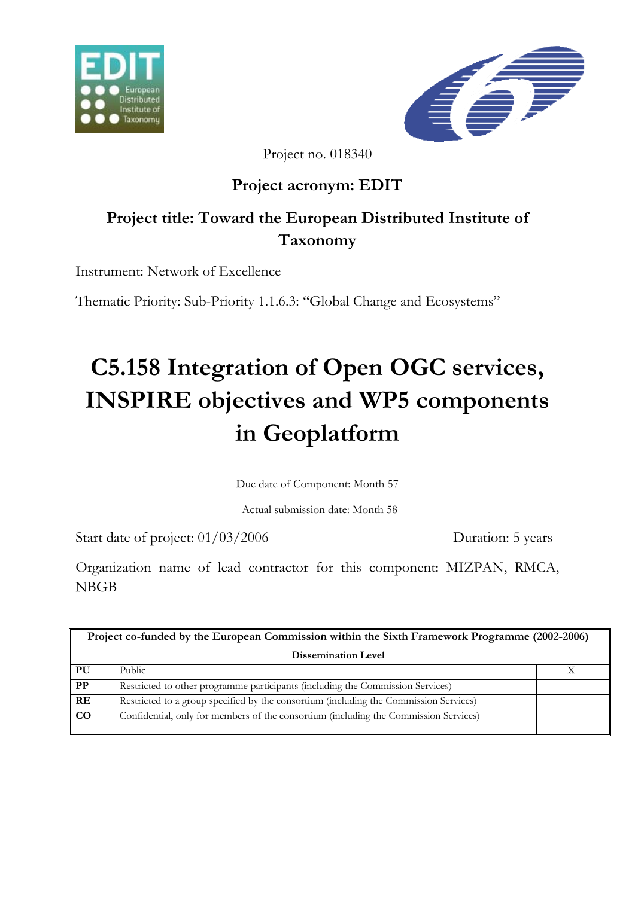



Project no. 018340

# **Project acronym: EDIT**

# **Project title: Toward the European Distributed Institute of Taxonomy**

Instrument: Network of Excellence

Thematic Priority: Sub-Priority 1.1.6.3: "Global Change and Ecosystems"

# **C5.158 Integration of Open OGC services, INSPIRE objectives and WP5 components in Geoplatform**

Due date of Component: Month 57

Actual submission date: Month 58

Start date of project:  $01/03/2006$  Duration: 5 years

Organization name of lead contractor for this component: MIZPAN, RMCA, NBGB

| Project co-funded by the European Commission within the Sixth Framework Programme (2002-2006) |                                                                                       |  |
|-----------------------------------------------------------------------------------------------|---------------------------------------------------------------------------------------|--|
| <b>Dissemination Level</b>                                                                    |                                                                                       |  |
| PU                                                                                            | Public                                                                                |  |
| $\bf PP$                                                                                      | Restricted to other programme participants (including the Commission Services)        |  |
| RE                                                                                            | Restricted to a group specified by the consortium (including the Commission Services) |  |
| CO                                                                                            | Confidential, only for members of the consortium (including the Commission Services)  |  |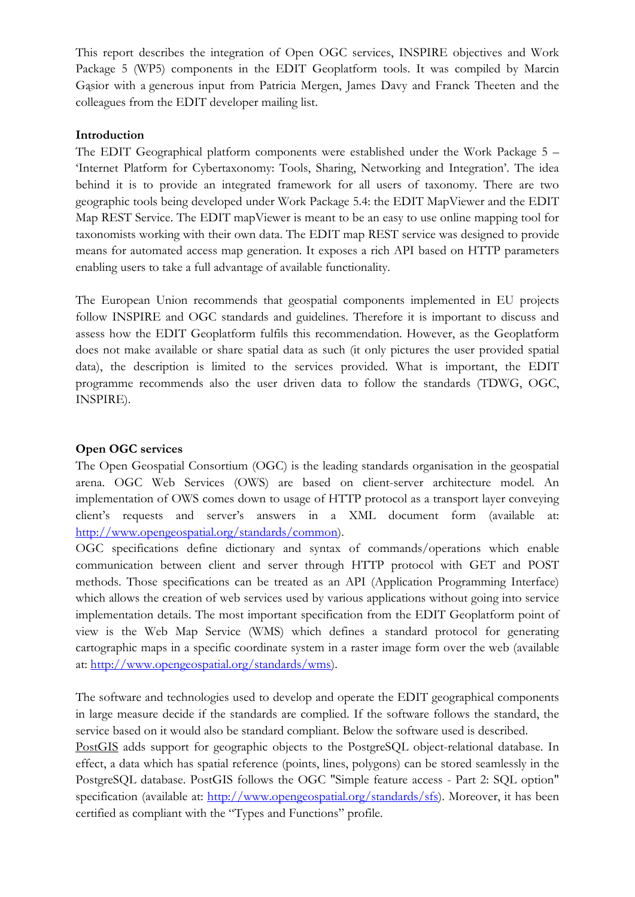This report describes the integration of Open OGC services, INSPIRE objectives and Work Package 5 (WP5) components in the EDIT Geoplatform tools. It was compiled by Marcin Gąsior with a generous input from Patricia Mergen, James Davy and Franck Theeten and the colleagues from the EDIT developer mailing list.

### **Introduction**

The EDIT Geographical platform components were established under the Work Package 5 – 'Internet Platform for Cybertaxonomy: Tools, Sharing, Networking and Integration'. The idea behind it is to provide an integrated framework for all users of taxonomy. There are two geographic tools being developed under Work Package 5.4: the EDIT MapViewer and the EDIT Map REST Service. The EDIT mapViewer is meant to be an easy to use online mapping tool for taxonomists working with their own data. The EDIT map REST service was designed to provide means for automated access map generation. It exposes a rich API based on HTTP parameters enabling users to take a full advantage of available functionality.

The European Union recommends that geospatial components implemented in EU projects follow INSPIRE and OGC standards and guidelines. Therefore it is important to discuss and assess how the EDIT Geoplatform fulfils this recommendation. However, as the Geoplatform does not make available or share spatial data as such (it only pictures the user provided spatial data), the description is limited to the services provided. What is important, the EDIT programme recommends also the user driven data to follow the standards (TDWG, OGC, INSPIRE).

## **Open OGC services**

The Open Geospatial Consortium (OGC) is the leading standards organisation in the geospatial arena. OGC Web Services (OWS) are based on client-server architecture model. An implementation of OWS comes down to usage of HTTP protocol as a transport layer conveying client's requests and server's answers in a XML document form (available at: http://www.opengeospatial.org/standards/common).

OGC specifications define dictionary and syntax of commands/operations which enable communication between client and server through HTTP protocol with GET and POST methods. Those specifications can be treated as an API (Application Programming Interface) which allows the creation of web services used by various applications without going into service implementation details. The most important specification from the EDIT Geoplatform point of view is the Web Map Service (WMS) which defines a standard protocol for generating cartographic maps in a specific coordinate system in a raster image form over the web (available at: http://www.opengeospatial.org/standards/wms).

The software and technologies used to develop and operate the EDIT geographical components in large measure decide if the standards are complied. If the software follows the standard, the service based on it would also be standard compliant. Below the software used is described.

PostGIS adds support for geographic objects to the PostgreSQL object-relational database. In effect, a data which has spatial reference (points, lines, polygons) can be stored seamlessly in the PostgreSQL database. PostGIS follows the OGC "Simple feature access - Part 2: SQL option" specification (available at: http://www.opengeospatial.org/standards/sfs). Moreover, it has been certified as compliant with the "Types and Functions" profile.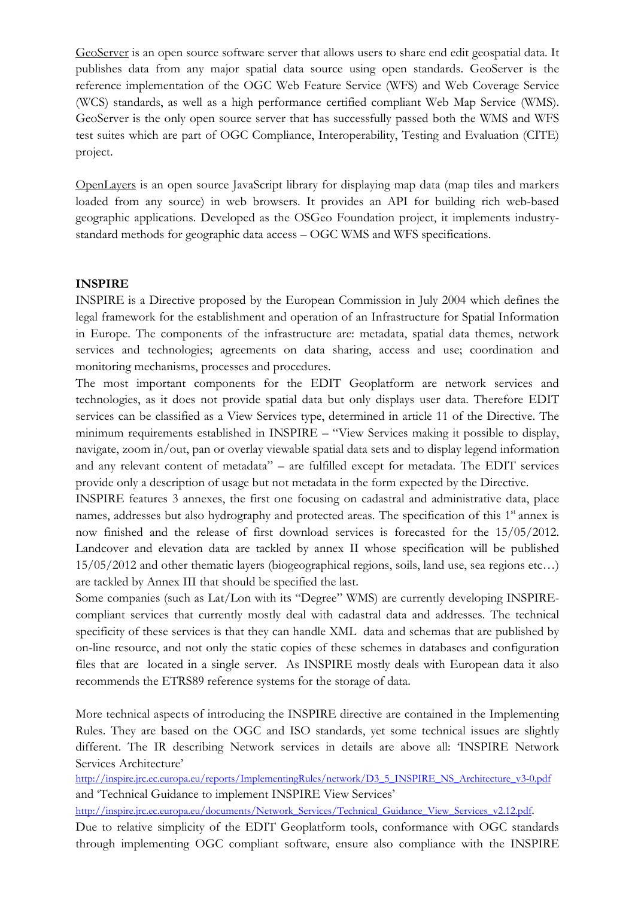GeoServer is an open source software server that allows users to share end edit geospatial data. It publishes data from any major spatial data source using open standards. GeoServer is the reference implementation of the OGC Web Feature Service (WFS) and Web Coverage Service (WCS) standards, as well as a high performance certified compliant Web Map Service (WMS). GeoServer is the only open source server that has successfully passed both the WMS and WFS test suites which are part of OGC Compliance, Interoperability, Testing and Evaluation (CITE) project.

OpenLayers is an open source JavaScript library for displaying map data (map tiles and markers loaded from any source) in web browsers. It provides an API for building rich web-based geographic applications. Developed as the OSGeo Foundation project, it implements industrystandard methods for geographic data access – OGC WMS and WFS specifications.

## **INSPIRE**

INSPIRE is a Directive proposed by the European Commission in July 2004 which defines the legal framework for the establishment and operation of an Infrastructure for Spatial Information in Europe. The components of the infrastructure are: metadata, spatial data themes, network services and technologies; agreements on data sharing, access and use; coordination and monitoring mechanisms, processes and procedures.

The most important components for the EDIT Geoplatform are network services and technologies, as it does not provide spatial data but only displays user data. Therefore EDIT services can be classified as a View Services type, determined in article 11 of the Directive. The minimum requirements established in INSPIRE – "View Services making it possible to display, navigate, zoom in/out, pan or overlay viewable spatial data sets and to display legend information and any relevant content of metadata" – are fulfilled except for metadata. The EDIT services provide only a description of usage but not metadata in the form expected by the Directive.

INSPIRE features 3 annexes, the first one focusing on cadastral and administrative data, place names, addresses but also hydrography and protected areas. The specification of this 1<sup>st</sup> annex is now finished and the release of first download services is forecasted for the 15/05/2012. Landcover and elevation data are tackled by annex II whose specification will be published 15/05/2012 and other thematic layers (biogeographical regions, soils, land use, sea regions etc…) are tackled by Annex III that should be specified the last.

Some companies (such as Lat/Lon with its "Degree" WMS) are currently developing INSPIREcompliant services that currently mostly deal with cadastral data and addresses. The technical specificity of these services is that they can handle XML data and schemas that are published by on-line resource, and not only the static copies of these schemes in databases and configuration files that are located in a single server. As INSPIRE mostly deals with European data it also recommends the ETRS89 reference systems for the storage of data.

More technical aspects of introducing the INSPIRE directive are contained in the Implementing Rules. They are based on the OGC and ISO standards, yet some technical issues are slightly different. The IR describing Network services in details are above all: 'INSPIRE Network Services Architecture'

http://inspire.jrc.ec.europa.eu/reports/ImplementingRules/network/D3\_5\_INSPIRE\_NS\_Architecture\_v3-0.pdf and 'Technical Guidance to implement INSPIRE View Services'

http://inspire.jrc.ec.europa.eu/documents/Network\_Services/Technical\_Guidance\_View\_Services\_v2.12.pdf.

Due to relative simplicity of the EDIT Geoplatform tools, conformance with OGC standards through implementing OGC compliant software, ensure also compliance with the INSPIRE